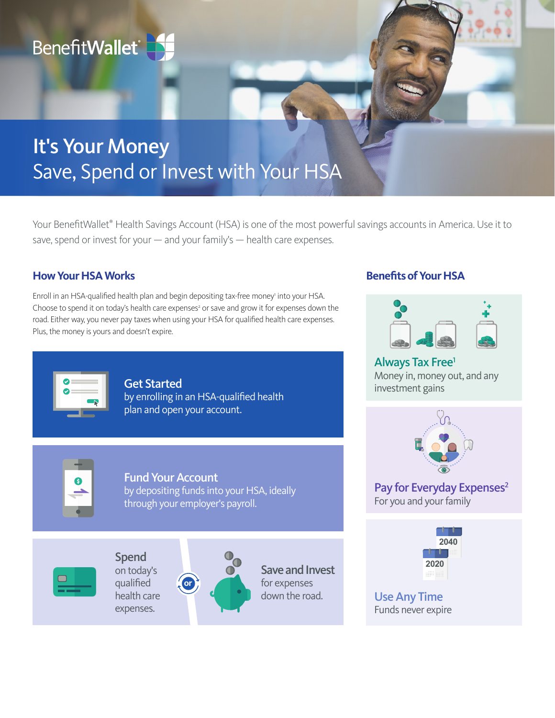

# It's Your Money Save, Spend or Invest with Your HSA

Your BenefitWallet<sup>®</sup> Health Savings Account (HSA) is one of the most powerful savings accounts in America. Use it to save, spend or invest for your — and your family's — health care expenses.

# **How Your HSA Works**

Enroll in an HSA-qualified health plan and begin depositing tax-free money' into your HSA. Choose to spend it on today's health care expenses<sup>2</sup> or save and grow it for expenses down the road. Either way, you never pay taxes when using your HSA for qualified health care expenses. Plus, the money is yours and doesn't expire.



Get Started by enrolling in an HSA-qualified health plan and open your account.



Fund Your Account by depositing funds into your HSA, ideally through your employer's payroll.



Spend on today's qualified health care expenses.



Save and Invest for expenses down the road.

# **Benefits of Your HSA**



Always Tax Free1 Money in, money out, and any investment gains



Pay for Everyday Expenses<sup>2</sup> For you and your family



Use Any Time Funds never expire